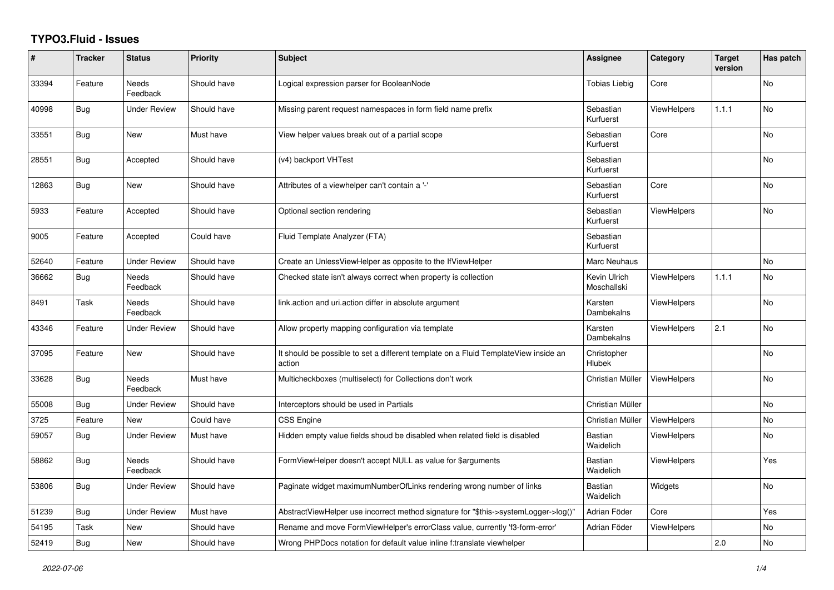## **TYPO3.Fluid - Issues**

| #     | <b>Tracker</b> | <b>Status</b>            | <b>Priority</b> | <b>Subject</b>                                                                                | Assignee                     | Category           | <b>Target</b><br>version | Has patch      |
|-------|----------------|--------------------------|-----------------|-----------------------------------------------------------------------------------------------|------------------------------|--------------------|--------------------------|----------------|
| 33394 | Feature        | <b>Needs</b><br>Feedback | Should have     | Logical expression parser for BooleanNode                                                     | <b>Tobias Liebig</b>         | Core               |                          | <b>No</b>      |
| 40998 | <b>Bug</b>     | <b>Under Review</b>      | Should have     | Missing parent request namespaces in form field name prefix                                   | Sebastian<br>Kurfuerst       | <b>ViewHelpers</b> | 1.1.1                    | N <sub>o</sub> |
| 33551 | Bug            | New                      | Must have       | View helper values break out of a partial scope                                               | Sebastian<br>Kurfuerst       | Core               |                          | No             |
| 28551 | Bug            | Accepted                 | Should have     | (v4) backport VHTest                                                                          | Sebastian<br>Kurfuerst       |                    |                          | No             |
| 12863 | <b>Bug</b>     | <b>New</b>               | Should have     | Attributes of a viewhelper can't contain a '-'                                                | Sebastian<br>Kurfuerst       | Core               |                          | <b>No</b>      |
| 5933  | Feature        | Accepted                 | Should have     | Optional section rendering                                                                    | Sebastian<br>Kurfuerst       | ViewHelpers        |                          | <b>No</b>      |
| 9005  | Feature        | Accepted                 | Could have      | Fluid Template Analyzer (FTA)                                                                 | Sebastian<br>Kurfuerst       |                    |                          |                |
| 52640 | Feature        | <b>Under Review</b>      | Should have     | Create an UnlessViewHelper as opposite to the IfViewHelper                                    | Marc Neuhaus                 |                    |                          | No             |
| 36662 | Bug            | <b>Needs</b><br>Feedback | Should have     | Checked state isn't always correct when property is collection                                | Kevin Ulrich<br>Moschallski  | <b>ViewHelpers</b> | 1.1.1                    | <b>No</b>      |
| 8491  | Task           | Needs<br>Feedback        | Should have     | link.action and uri.action differ in absolute argument                                        | Karsten<br>Dambekalns        | <b>ViewHelpers</b> |                          | No             |
| 43346 | Feature        | <b>Under Review</b>      | Should have     | Allow property mapping configuration via template                                             | Karsten<br>Dambekalns        | <b>ViewHelpers</b> | 2.1                      | No             |
| 37095 | Feature        | <b>New</b>               | Should have     | It should be possible to set a different template on a Fluid TemplateView inside an<br>action | Christopher<br><b>Hlubek</b> |                    |                          | <b>No</b>      |
| 33628 | Bug            | Needs<br>Feedback        | Must have       | Multicheckboxes (multiselect) for Collections don't work                                      | Christian Müller             | <b>ViewHelpers</b> |                          | <b>No</b>      |
| 55008 | Bug            | <b>Under Review</b>      | Should have     | Interceptors should be used in Partials                                                       | Christian Müller             |                    |                          | No             |
| 3725  | Feature        | New                      | Could have      | CSS Engine                                                                                    | Christian Müller             | ViewHelpers        |                          | No             |
| 59057 | Bug            | <b>Under Review</b>      | Must have       | Hidden empty value fields shoud be disabled when related field is disabled                    | Bastian<br>Waidelich         | <b>ViewHelpers</b> |                          | N <sub>o</sub> |
| 58862 | <b>Bug</b>     | Needs<br>Feedback        | Should have     | FormViewHelper doesn't accept NULL as value for \$arguments                                   | Bastian<br>Waidelich         | <b>ViewHelpers</b> |                          | Yes            |
| 53806 | Bug            | Under Review             | Should have     | Paginate widget maximumNumberOfLinks rendering wrong number of links                          | Bastian<br>Waidelich         | Widgets            |                          | No             |
| 51239 | Bug            | <b>Under Review</b>      | Must have       | AbstractViewHelper use incorrect method signature for "\$this->systemLogger->log()"           | Adrian Föder                 | Core               |                          | Yes            |
| 54195 | Task           | New                      | Should have     | Rename and move FormViewHelper's errorClass value, currently 'f3-form-error'                  | Adrian Föder                 | ViewHelpers        |                          | No             |
| 52419 | Bug            | New                      | Should have     | Wrong PHPDocs notation for default value inline f:translate viewhelper                        |                              |                    | 2.0                      | No             |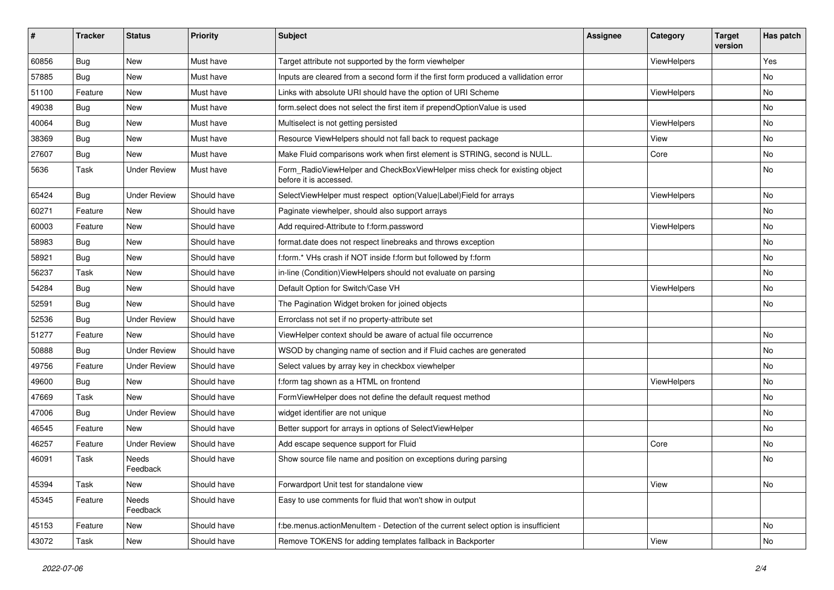| ∦     | <b>Tracker</b> | <b>Status</b>       | <b>Priority</b> | Subject                                                                                              | Assignee | Category    | <b>Target</b><br>version | Has patch |
|-------|----------------|---------------------|-----------------|------------------------------------------------------------------------------------------------------|----------|-------------|--------------------------|-----------|
| 60856 | Bug            | New                 | Must have       | Target attribute not supported by the form viewhelper                                                |          | ViewHelpers |                          | Yes       |
| 57885 | Bug            | New                 | Must have       | Inputs are cleared from a second form if the first form produced a vallidation error                 |          |             |                          | No        |
| 51100 | Feature        | New                 | Must have       | Links with absolute URI should have the option of URI Scheme                                         |          | ViewHelpers |                          | No        |
| 49038 | Bug            | New                 | Must have       | form.select does not select the first item if prependOptionValue is used                             |          |             |                          | No        |
| 40064 | Bug            | New                 | Must have       | Multiselect is not getting persisted                                                                 |          | ViewHelpers |                          | No        |
| 38369 | Bug            | New                 | Must have       | Resource ViewHelpers should not fall back to request package                                         |          | View        |                          | No        |
| 27607 | Bug            | New                 | Must have       | Make Fluid comparisons work when first element is STRING, second is NULL.                            |          | Core        |                          | No        |
| 5636  | Task           | <b>Under Review</b> | Must have       | Form_RadioViewHelper and CheckBoxViewHelper miss check for existing object<br>before it is accessed. |          |             |                          | No        |
| 65424 | Bug            | Under Review        | Should have     | SelectViewHelper must respect option(Value Label)Field for arrays                                    |          | ViewHelpers |                          | No        |
| 60271 | Feature        | <b>New</b>          | Should have     | Paginate viewhelper, should also support arrays                                                      |          |             |                          | No        |
| 60003 | Feature        | New                 | Should have     | Add required-Attribute to f:form.password                                                            |          | ViewHelpers |                          | No        |
| 58983 | Bug            | New                 | Should have     | format.date does not respect linebreaks and throws exception                                         |          |             |                          | No        |
| 58921 | Bug            | New                 | Should have     | f:form.* VHs crash if NOT inside f:form but followed by f:form                                       |          |             |                          | No        |
| 56237 | Task           | New                 | Should have     | in-line (Condition) View Helpers should not evaluate on parsing                                      |          |             |                          | No        |
| 54284 | Bug            | New                 | Should have     | Default Option for Switch/Case VH                                                                    |          | ViewHelpers |                          | No        |
| 52591 | Bug            | <b>New</b>          | Should have     | The Pagination Widget broken for joined objects                                                      |          |             |                          | No        |
| 52536 | Bug            | <b>Under Review</b> | Should have     | Errorclass not set if no property-attribute set                                                      |          |             |                          |           |
| 51277 | Feature        | <b>New</b>          | Should have     | ViewHelper context should be aware of actual file occurrence                                         |          |             |                          | No        |
| 50888 | Bug            | <b>Under Review</b> | Should have     | WSOD by changing name of section and if Fluid caches are generated                                   |          |             |                          | No        |
| 49756 | Feature        | <b>Under Review</b> | Should have     | Select values by array key in checkbox viewhelper                                                    |          |             |                          | No        |
| 49600 | Bug            | New                 | Should have     | f:form tag shown as a HTML on frontend                                                               |          | ViewHelpers |                          | No        |
| 47669 | Task           | New                 | Should have     | FormViewHelper does not define the default request method                                            |          |             |                          | No        |
| 47006 | Bug            | <b>Under Review</b> | Should have     | widget identifier are not unique                                                                     |          |             |                          | No        |
| 46545 | Feature        | New                 | Should have     | Better support for arrays in options of SelectViewHelper                                             |          |             |                          | No        |
| 46257 | Feature        | <b>Under Review</b> | Should have     | Add escape sequence support for Fluid                                                                |          | Core        |                          | No        |
| 46091 | Task           | Needs<br>Feedback   | Should have     | Show source file name and position on exceptions during parsing                                      |          |             |                          | No        |
| 45394 | Task           | New                 | Should have     | Forwardport Unit test for standalone view                                                            |          | View        |                          | No        |
| 45345 | Feature        | Needs<br>Feedback   | Should have     | Easy to use comments for fluid that won't show in output                                             |          |             |                          |           |
| 45153 | Feature        | New                 | Should have     | f:be.menus.actionMenuItem - Detection of the current select option is insufficient                   |          |             |                          | No        |
| 43072 | Task           | New                 | Should have     | Remove TOKENS for adding templates fallback in Backporter                                            |          | View        |                          | No        |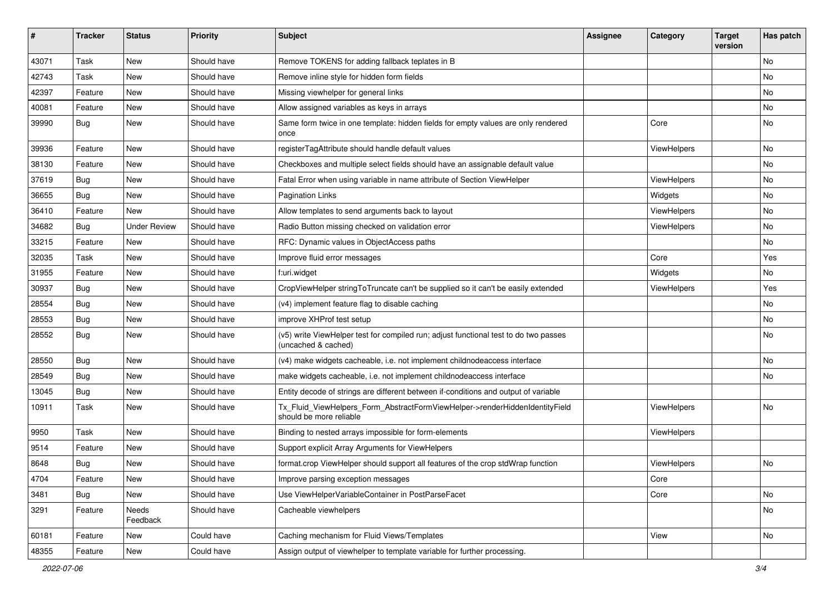| ∦     | <b>Tracker</b> | <b>Status</b>       | <b>Priority</b> | <b>Subject</b>                                                                                              | <b>Assignee</b> | Category    | <b>Target</b><br>version | Has patch |
|-------|----------------|---------------------|-----------------|-------------------------------------------------------------------------------------------------------------|-----------------|-------------|--------------------------|-----------|
| 43071 | Task           | New                 | Should have     | Remove TOKENS for adding fallback teplates in B                                                             |                 |             |                          | No        |
| 42743 | Task           | New                 | Should have     | Remove inline style for hidden form fields                                                                  |                 |             |                          | No        |
| 42397 | Feature        | New                 | Should have     | Missing viewhelper for general links                                                                        |                 |             |                          | No        |
| 40081 | Feature        | New                 | Should have     | Allow assigned variables as keys in arrays                                                                  |                 |             |                          | No        |
| 39990 | Bug            | New                 | Should have     | Same form twice in one template: hidden fields for empty values are only rendered<br>once                   |                 | Core        |                          | No        |
| 39936 | Feature        | New                 | Should have     | registerTagAttribute should handle default values                                                           |                 | ViewHelpers |                          | No        |
| 38130 | Feature        | New                 | Should have     | Checkboxes and multiple select fields should have an assignable default value                               |                 |             |                          | No        |
| 37619 | Bug            | New                 | Should have     | Fatal Error when using variable in name attribute of Section ViewHelper                                     |                 | ViewHelpers |                          | No        |
| 36655 | Bug            | New                 | Should have     | <b>Pagination Links</b>                                                                                     |                 | Widgets     |                          | No        |
| 36410 | Feature        | <b>New</b>          | Should have     | Allow templates to send arguments back to layout                                                            |                 | ViewHelpers |                          | No        |
| 34682 | Bug            | <b>Under Review</b> | Should have     | Radio Button missing checked on validation error                                                            |                 | ViewHelpers |                          | No        |
| 33215 | Feature        | New                 | Should have     | RFC: Dynamic values in ObjectAccess paths                                                                   |                 |             |                          | No        |
| 32035 | Task           | New                 | Should have     | Improve fluid error messages                                                                                |                 | Core        |                          | Yes       |
| 31955 | Feature        | New                 | Should have     | f:uri.widget                                                                                                |                 | Widgets     |                          | No        |
| 30937 | Bug            | New                 | Should have     | CropViewHelper stringToTruncate can't be supplied so it can't be easily extended                            |                 | ViewHelpers |                          | Yes       |
| 28554 | Bug            | New                 | Should have     | (v4) implement feature flag to disable caching                                                              |                 |             |                          | No        |
| 28553 | Bug            | New                 | Should have     | improve XHProf test setup                                                                                   |                 |             |                          | No        |
| 28552 | Bug            | New                 | Should have     | (v5) write ViewHelper test for compiled run; adjust functional test to do two passes<br>(uncached & cached) |                 |             |                          | No        |
| 28550 | Bug            | New                 | Should have     | (v4) make widgets cacheable, i.e. not implement childnodeaccess interface                                   |                 |             |                          | No        |
| 28549 | Bug            | <b>New</b>          | Should have     | make widgets cacheable, i.e. not implement childnodeaccess interface                                        |                 |             |                          | No        |
| 13045 | Bug            | New                 | Should have     | Entity decode of strings are different between if-conditions and output of variable                         |                 |             |                          |           |
| 10911 | Task           | New                 | Should have     | Tx_Fluid_ViewHelpers_Form_AbstractFormViewHelper->renderHiddenIdentityField<br>should be more reliable      |                 | ViewHelpers |                          | No        |
| 9950  | Task           | New                 | Should have     | Binding to nested arrays impossible for form-elements                                                       |                 | ViewHelpers |                          |           |
| 9514  | Feature        | New                 | Should have     | Support explicit Array Arguments for ViewHelpers                                                            |                 |             |                          |           |
| 8648  | <b>Bug</b>     | New                 | Should have     | format.crop ViewHelper should support all features of the crop stdWrap function                             |                 | ViewHelpers |                          | No        |
| 4704  | Feature        | New                 | Should have     | Improve parsing exception messages                                                                          |                 | Core        |                          |           |
| 3481  | Bug            | New                 | Should have     | Use ViewHelperVariableContainer in PostParseFacet                                                           |                 | Core        |                          | No        |
| 3291  | Feature        | Needs<br>Feedback   | Should have     | Cacheable viewhelpers                                                                                       |                 |             |                          | No        |
| 60181 | Feature        | New                 | Could have      | Caching mechanism for Fluid Views/Templates                                                                 |                 | View        |                          | No        |
| 48355 | Feature        | New                 | Could have      | Assign output of viewhelper to template variable for further processing.                                    |                 |             |                          |           |